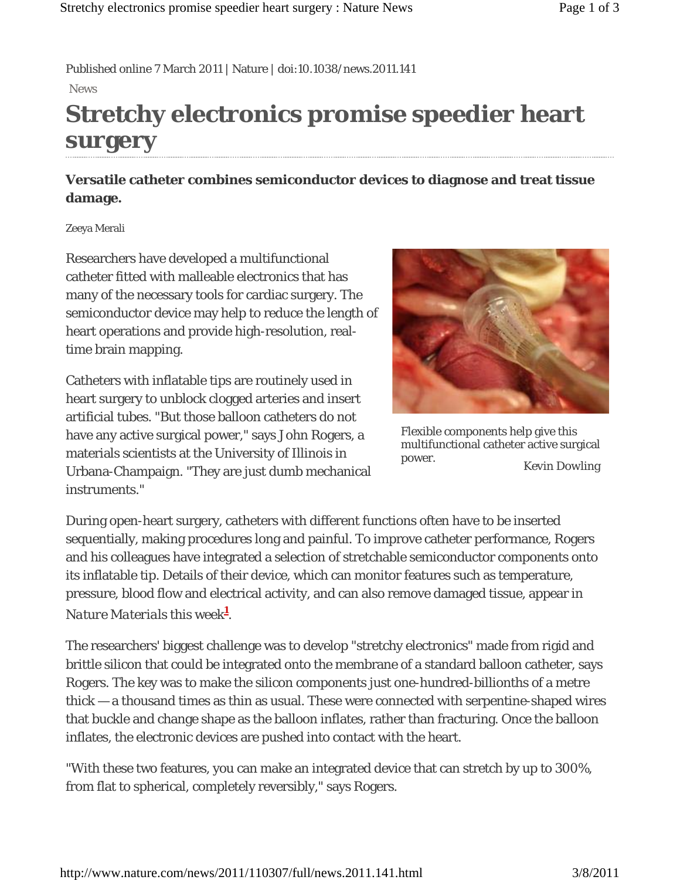Published online 7 March 2011 | Nature | doi:10.1038/news.2011.141 News

# **Stretchy electronics promise speedier heart surgery**

### **Versatile catheter combines semiconductor devices to diagnose and treat tissue damage.**

#### Zeeya Merali

Researchers have developed a multifunctional catheter fitted with malleable electronics that has many of the necessary tools for cardiac surgery. The semiconductor device may help to reduce the length of heart operations and provide high-resolution, realtime brain mapping.

Catheters with inflatable tips are routinely used in heart surgery to unblock clogged arteries and insert artificial tubes. "But those balloon catheters do not have any active surgical power," says John Rogers, a materials scientists at the University of Illinois in Urbana-Champaign. "They are just dumb mechanical instruments."



*Kevin Dowling* Flexible components help give this multifunctional catheter active surgical power.

During open-heart surgery, catheters with different functions often have to be inserted sequentially, making procedures long and painful. To improve catheter performance, Rogers and his colleagues have integrated a selection of stretchable semiconductor components onto its inflatable tip. Details of their device, which can monitor features such as temperature, pressure, blood flow and electrical activity, and can also remove damaged tissue, appear in *Nature Materials* this week**<sup>1</sup>** .

The researchers' biggest challenge was to develop "stretchy electronics" made from rigid and brittle silicon that could be integrated onto the membrane of a standard balloon catheter, says Rogers. The key was to make the silicon components just one-hundred-billionths of a metre thick — a thousand times as thin as usual. These were connected with serpentine-shaped wires that buckle and change shape as the balloon inflates, rather than fracturing. Once the balloon inflates, the electronic devices are pushed into contact with the heart.

"With these two features, you can make an integrated device that can stretch by up to 300%, from flat to spherical, completely reversibly," says Rogers.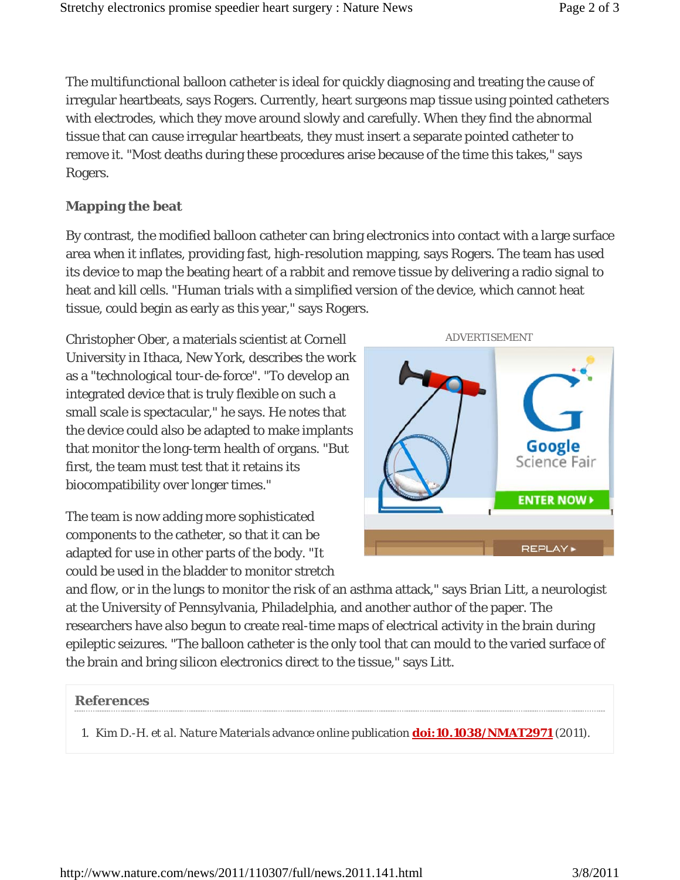The multifunctional balloon catheter is ideal for quickly diagnosing and treating the cause of irregular heartbeats, says Rogers. Currently, heart surgeons map tissue using pointed catheters with electrodes, which they move around slowly and carefully. When they find the abnormal tissue that can cause irregular heartbeats, they must insert a separate pointed catheter to remove it. "Most deaths during these procedures arise because of the time this takes," says Rogers.

### **Mapping the beat**

By contrast, the modified balloon catheter can bring electronics into contact with a large surface area when it inflates, providing fast, high-resolution mapping, says Rogers. The team has used its device to map the beating heart of a rabbit and remove tissue by delivering a radio signal to heat and kill cells. "Human trials with a simplified version of the device, which cannot heat tissue, could begin as early as this year," says Rogers.

Christopher Ober, a materials scientist at Cornell University in Ithaca, New York, describes the work as a "technological tour-de-force". "To develop an integrated device that is truly flexible on such a small scale is spectacular," he says. He notes that the device could also be adapted to make implants that monitor the long-term health of organs. "But first, the team must test that it retains its biocompatibility over longer times."

The team is now adding more sophisticated components to the catheter, so that it can be adapted for use in other parts of the body. "It could be used in the bladder to monitor stretch



and flow, or in the lungs to monitor the risk of an asthma attack," says Brian Litt, a neurologist at the University of Pennsylvania, Philadelphia, and another author of the paper. The researchers have also begun to create real-time maps of electrical activity in the brain during epileptic seizures. "The balloon catheter is the only tool that can mould to the varied surface of the brain and bring silicon electronics direct to the tissue," says Litt.

#### **References**

1. Kim D.-H. *et al. Nature Materials* advance online publication **doi:10.1038/NMAT2971** (2011).